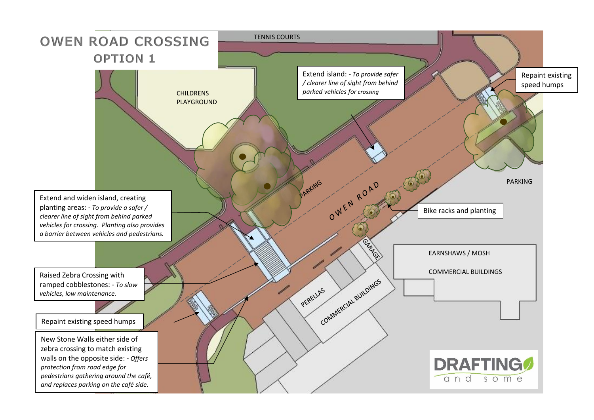